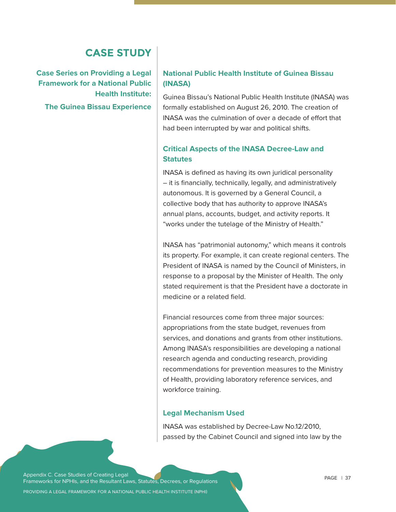# **CASE STUDY**

**Case Series on Providing a Legal Framework for a National Public Health Institute: The Guinea Bissau Experience** 

#### **National Public Health Institute of Guinea Bissau (INASA)**

Guinea Bissau's National Public Health Institute (INASA) was formally established on August 26, 2010. The creation of INASA was the culmination of over a decade of effort that had been interrupted by war and political shifts.

#### **Critical Aspects of the INASA Decree-Law and Statutes**

INASA is defined as having its own juridical personality – it is financially, technically, legally, and administratively autonomous. It is governed by a General Council, a collective body that has authority to approve INASA's annual plans, accounts, budget, and activity reports. It "works under the tutelage of the Ministry of Health."

INASA has "patrimonial autonomy," which means it controls its property. For example, it can create regional centers. The President of INASA is named by the Council of Ministers, in response to a proposal by the Minister of Health. The only stated requirement is that the President have a doctorate in medicine or a related field.

Financial resources come from three major sources: appropriations from the state budget, revenues from services, and donations and grants from other institutions. Among INASA's responsibilities are developing a national research agenda and conducting research, providing recommendations for prevention measures to the Ministry of Health, providing laboratory reference services, and workforce training.

#### **Legal Mechanism Used**

INASA was established by Decree-Law No.12/2010, passed by the Cabinet Council and signed into law by the

Appendix C. Case Studies of Creating Legal Frameworks for NPHIs, and the Resultant Laws, Statutes, Decrees, or Regulations

PROVIDING A LEGAL FRAMEWORK FOR A NATIONAL PUBLIC HEALTH INSTITUTE (NPHI)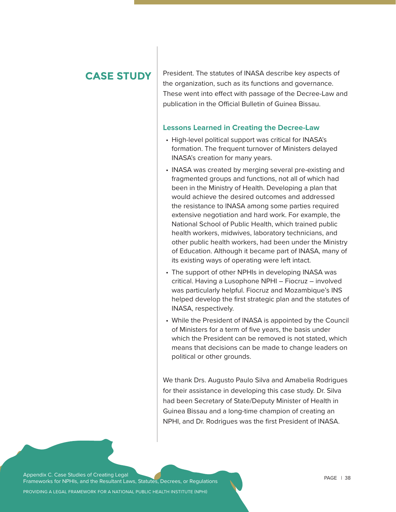# **CASE STUDY**

President. The statutes of INASA describe key aspects of the organization, such as its functions and governance. These went into effect with passage of the Decree-Law and publication in the Official Bulletin of Guinea Bissau.

#### **Lessons Learned in Creating the Decree-Law**

- High-level political support was critical for INASA's formation. The frequent turnover of Ministers delayed INASA's creation for many years.
- INASA was created by merging several pre-existing and fragmented groups and functions, not all of which had been in the Ministry of Health. Developing a plan that would achieve the desired outcomes and addressed the resistance to INASA among some parties required extensive negotiation and hard work. For example, the National School of Public Health, which trained public health workers, midwives, laboratory technicians, and other public health workers, had been under the Ministry of Education. Although it became part of INASA, many of its existing ways of operating were left intact.
- The support of other NPHIs in developing INASA was critical. Having a Lusophone NPHI – Fiocruz – involved was particularly helpful. Fiocruz and Mozambique's INS helped develop the first strategic plan and the statutes of INASA, respectively.
- While the President of INASA is appointed by the Council of Ministers for a term of five years, the basis under which the President can be removed is not stated, which means that decisions can be made to change leaders on political or other grounds.

We thank Drs. Augusto Paulo Silva and Amabelia Rodrigues for their assistance in developing this case study. Dr. Silva had been Secretary of State/Deputy Minister of Health in Guinea Bissau and a long-time champion of creating an NPHI, and Dr. Rodrigues was the first President of INASA.

Appendix C. Case Studies of Creating Legal Frameworks for NPHIs, and the Resultant Laws, Statutes, Decrees, or Regulations

PROVIDING A LEGAL FRAMEWORK FOR A NATIONAL PUBLIC HEALTH INSTITUTE (NPHI)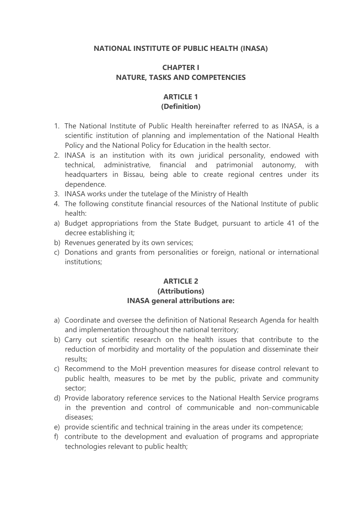#### **NATIONAL INSTITUTE OF PUBLIC HEALTH (INASA)**

#### **CHAPTER I NATURE, TASKS AND COMPETENCIES**

#### **ARTICLE 1 (Definition)**

- 1. The National Institute of Public Health hereinafter referred to as INASA, is a scientific institution of planning and implementation of the National Health Policy and the National Policy for Education in the health sector.
- 2. INASA is an institution with its own juridical personality, endowed with technical, administrative, financial and patrimonial autonomy, with headquarters in Bissau, being able to create regional centres under its dependence.
- 3. INASA works under the tutelage of the Ministry of Health
- 4. The following constitute financial resources of the National Institute of public health:
- a) Budget appropriations from the State Budget, pursuant to article 41 of the decree establishing it;
- b) Revenues generated by its own services;
- c) Donations and grants from personalities or foreign, national or international institutions;

#### **ARTICLE 2 (Attributions) INASA general attributions are:**

- a) Coordinate and oversee the definition of National Research Agenda for health and implementation throughout the national territory;
- b) Carry out scientific research on the health issues that contribute to the reduction of morbidity and mortality of the population and disseminate their results;
- c) Recommend to the MoH prevention measures for disease control relevant to public health, measures to be met by the public, private and community sector;
- d) Provide laboratory reference services to the National Health Service programs in the prevention and control of communicable and non-communicable diseases;
- e) provide scientific and technical training in the areas under its competence;
- f) contribute to the development and evaluation of programs and appropriate technologies relevant to public health;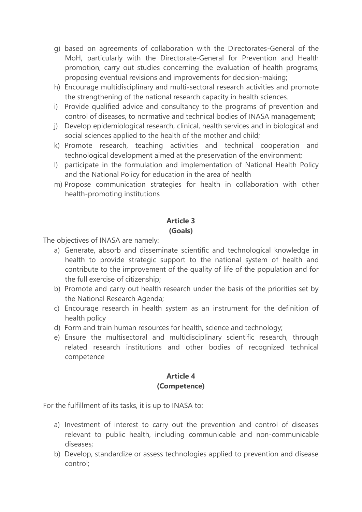- g) based on agreements of collaboration with the Directorates-General of the MoH, particularly with the Directorate-General for Prevention and Health promotion, carry out studies concerning the evaluation of health programs, proposing eventual revisions and improvements for decision-making;
- h) Encourage multidisciplinary and multi-sectoral research activities and promote the strengthening of the national research capacity in health sciences.
- i) Provide qualified advice and consultancy to the programs of prevention and control of diseases, to normative and technical bodies of INASA management;
- j) Develop epidemiological research, clinical, health services and in biological and social sciences applied to the health of the mother and child;
- k) Promote research, teaching activities and technical cooperation and technological development aimed at the preservation of the environment;
- l) participate in the formulation and implementation of National Health Policy and the National Policy for education in the area of health
- m) Propose communication strategies for health in collaboration with other health-promoting institutions

# **Article 3 (Goals)**

The objectives of INASA are namely:

- a) Generate, absorb and disseminate scientific and technological knowledge in health to provide strategic support to the national system of health and contribute to the improvement of the quality of life of the population and for the full exercise of citizenship;
- b) Promote and carry out health research under the basis of the priorities set by the National Research Agenda;
- c) Encourage research in health system as an instrument for the definition of health policy
- d) Form and train human resources for health, science and technology;
- e) Ensure the multisectoral and multidisciplinary scientific research, through related research institutions and other bodies of recognized technical competence

## **Article 4 (Competence)**

For the fulfillment of its tasks, it is up to INASA to:

- a) Investment of interest to carry out the prevention and control of diseases relevant to public health, including communicable and non-communicable diseases;
- b) Develop, standardize or assess technologies applied to prevention and disease control;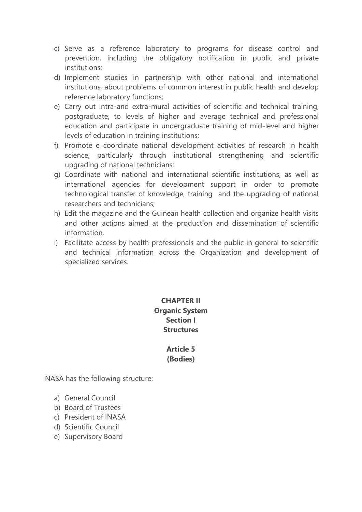- c) Serve as a reference laboratory to programs for disease control and prevention, including the obligatory notification in public and private institutions;
- d) Implement studies in partnership with other national and international institutions, about problems of common interest in public health and develop reference laboratory functions;
- e) Carry out Intra-and extra-mural activities of scientific and technical training, postgraduate, to levels of higher and average technical and professional education and participate in undergraduate training of mid-level and higher levels of education in training institutions;
- f) Promote e coordinate national development activities of research in health science, particularly through institutional strengthening and scientific upgrading of national technicians;
- g) Coordinate with national and international scientific institutions, as well as international agencies for development support in order to promote technological transfer of knowledge, training and the upgrading of national researchers and technicians;
- h) Edit the magazine and the Guinean health collection and organize health visits and other actions aimed at the production and dissemination of scientific information.
- i) Facilitate access by health professionals and the public in general to scientific and technical information across the Organization and development of specialized services.

# **CHAPTER II Organic System Section I Structures**

#### **Article 5 (Bodies)**

INASA has the following structure:

- a) General Council
- b) Board of Trustees
- c) President of INASA
- d) Scientific Council
- e) Supervisory Board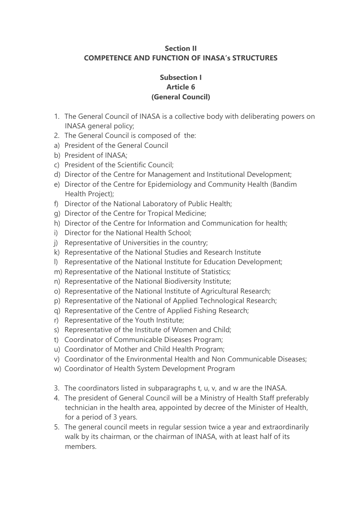#### **Section II COMPETENCE AND FUNCTION OF INASA's STRUCTURES**

#### **Subsection I Article 6 (General Council)**

- 1. The General Council of INASA is a collective body with deliberating powers on INASA general policy;
- 2. The General Council is composed of the:
- a) President of the General Council
- b) President of INASA;
- c) President of the Scientific Council;
- d) Director of the Centre for Management and Institutional Development;
- e) Director of the Centre for Epidemiology and Community Health (Bandim Health Project);
- f) Director of the National Laboratory of Public Health;
- g) Director of the Centre for Tropical Medicine;
- h) Director of the Centre for Information and Communication for health;
- i) Director for the National Health School;
- j) Representative of Universities in the country;
- k) Representative of the National Studies and Research Institute
- l) Representative of the National Institute for Education Development;
- m) Representative of the National Institute of Statistics;
- n) Representative of the National Biodiversity Institute;
- o) Representative of the National Institute of Agricultural Research;
- p) Representative of the National of Applied Technological Research;
- q) Representative of the Centre of Applied Fishing Research;
- r) Representative of the Youth Institute;
- s) Representative of the Institute of Women and Child;
- t) Coordinator of Communicable Diseases Program;
- u) Coordinator of Mother and Child Health Program;
- v) Coordinator of the Environmental Health and Non Communicable Diseases;
- w) Coordinator of Health System Development Program
- 3. The coordinators listed in subparagraphs t, u, v, and w are the INASA.
- 4. The president of General Council will be a Ministry of Health Staff preferably technician in the health area, appointed by decree of the Minister of Health, for a period of 3 years.
- 5. The general council meets in regular session twice a year and extraordinarily walk by its chairman, or the chairman of INASA, with at least half of its members.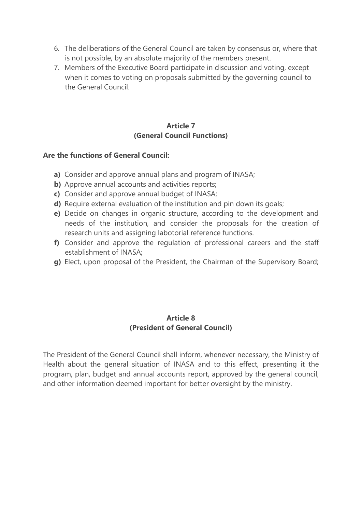- 6. The deliberations of the General Council are taken by consensus or, where that is not possible, by an absolute majority of the members present.
- 7. Members of the Executive Board participate in discussion and voting, except when it comes to voting on proposals submitted by the governing council to the General Council.

#### **Article 7 (General Council Functions)**

#### **Are the functions of General Council:**

- **a)** Consider and approve annual plans and program of INASA;
- **b)** Approve annual accounts and activities reports;
- **c)** Consider and approve annual budget of INASA;
- **d)** Require external evaluation of the institution and pin down its goals;
- **e)** Decide on changes in organic structure, according to the development and needs of the institution, and consider the proposals for the creation of research units and assigning labotorial reference functions.
- **f)** Consider and approve the regulation of professional careers and the staff establishment of INASA;
- **g)** Elect, upon proposal of the President, the Chairman of the Supervisory Board;

#### **Article 8 (President of General Council)**

The President of the General Council shall inform, whenever necessary, the Ministry of Health about the general situation of INASA and to this effect, presenting it the program, plan, budget and annual accounts report, approved by the general council, and other information deemed important for better oversight by the ministry.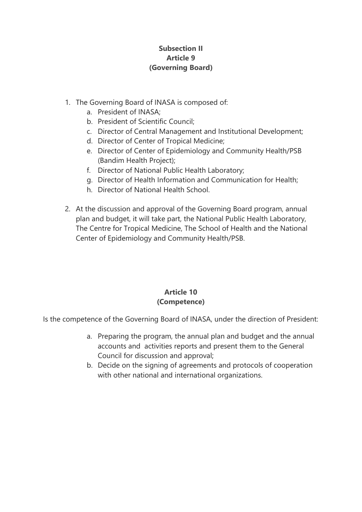## **Subsection II Article 9 (Governing Board)**

- 1. The Governing Board of INASA is composed of:
	- a. President of INASA;
	- b. President of Scientific Council;
	- c. Director of Central Management and Institutional Development;
	- d. Director of Center of Tropical Medicine;
	- e. Director of Center of Epidemiology and Community Health/PSB (Bandim Health Project);
	- f. Director of National Public Health Laboratory;
	- g. Director of Health Information and Communication for Health;
	- h. Director of National Health School.
- 2. At the discussion and approval of the Governing Board program, annual plan and budget, it will take part, the National Public Health Laboratory, The Centre for Tropical Medicine, The School of Health and the National Center of Epidemiology and Community Health/PSB.

# **Article 10 (Competence)**

Is the competence of the Governing Board of INASA, under the direction of President:

- a. Preparing the program, the annual plan and budget and the annual accounts and activities reports and present them to the General Council for discussion and approval;
- b. Decide on the signing of agreements and protocols of cooperation with other national and international organizations.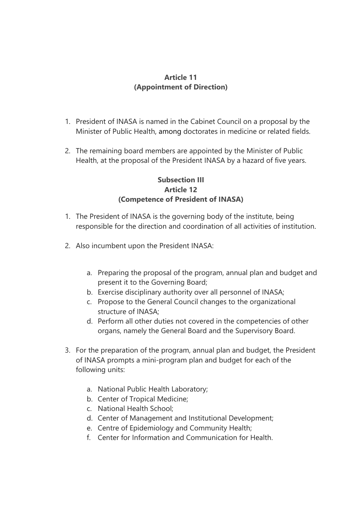## **Article 11 (Appointment of Direction)**

- 1. President of INASA is named in the Cabinet Council on a proposal by the Minister of Public Health, among doctorates in medicine or related fields.
- 2. The remaining board members are appointed by the Minister of Public Health, at the proposal of the President INASA by a hazard of five years.

## **Subsection III Article 12 (Competence of President of INASA)**

- 1. The President of INASA is the governing body of the institute, being responsible for the direction and coordination of all activities of institution.
- 2. Also incumbent upon the President INASA:
	- a. Preparing the proposal of the program, annual plan and budget and present it to the Governing Board;
	- b. Exercise disciplinary authority over all personnel of INASA;
	- c. Propose to the General Council changes to the organizational structure of INASA;
	- d. Perform all other duties not covered in the competencies of other organs, namely the General Board and the Supervisory Board.
- 3. For the preparation of the program, annual plan and budget, the President of INASA prompts a mini-program plan and budget for each of the following units:
	- a. National Public Health Laboratory;
	- b. Center of Tropical Medicine;
	- c. National Health School;
	- d. Center of Management and Institutional Development;
	- e. Centre of Epidemiology and Community Health;
	- f. Center for Information and Communication for Health.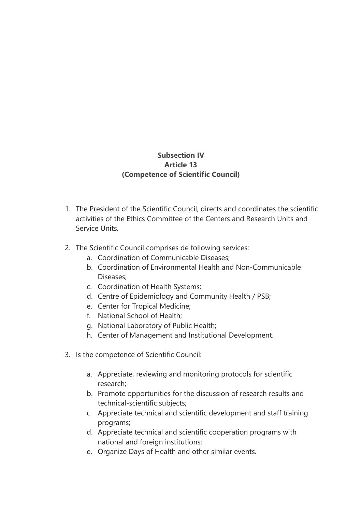## **Subsection IV Article 13 (Competence of Scientific Council)**

- 1. The President of the Scientific Council, directs and coordinates the scientific activities of the Ethics Committee of the Centers and Research Units and Service Units.
- 2. The Scientific Council comprises de following services:
	- a. Coordination of Communicable Diseases;
	- b. Coordination of Environmental Health and Non-Communicable Diseases;
	- c. Coordination of Health Systems;
	- d. Centre of Epidemiology and Community Health / PSB;
	- e. Center for Tropical Medicine;
	- f. National School of Health;
	- g. National Laboratory of Public Health;
	- h. Center of Management and Institutional Development.
- 3. Is the competence of Scientific Council:
	- a. Appreciate, reviewing and monitoring protocols for scientific research;
	- b. Promote opportunities for the discussion of research results and technical-scientific subjects;
	- c. Appreciate technical and scientific development and staff training programs;
	- d. Appreciate technical and scientific cooperation programs with national and foreign institutions;
	- e. Organize Days of Health and other similar events.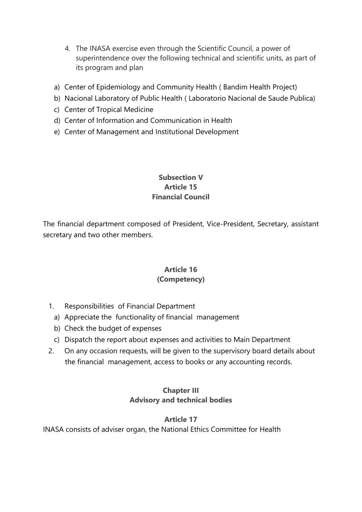- 4. The INASA exercise even through the Scientific Council, a power of superintendence over the following technical and scientific units, as part of its program and plan
- a) Center of Epidemiology and Community Health ( Bandim Health Project)
- b) Nacional Laboratory of Public Health ( Laboratorio Nacional de Saude Publica)
- c) Center of Tropical Medicine
- d) Center of Information and Communication in Health
- e) Center of Management and Institutional Development

#### **Subsection V Article 15 Financial Council**

The financial department composed of President, Vice-President, Secretary, assistant secretary and two other members.

## **Article 16 (Competency)**

- 1. Responsibilities of Financial Department
	- a) Appreciate the functionality of financial management
	- b) Check the budget of expenses
	- c) Dispatch the report about expenses and activities to Main Department
- 2. On any occasion requests, will be given to the supervisory board details about the financial management, access to books or any accounting records.

## **Chapter III Advisory and technical bodies**

## **Article 17**

INASA consists of adviser organ, the National Ethics Committee for Health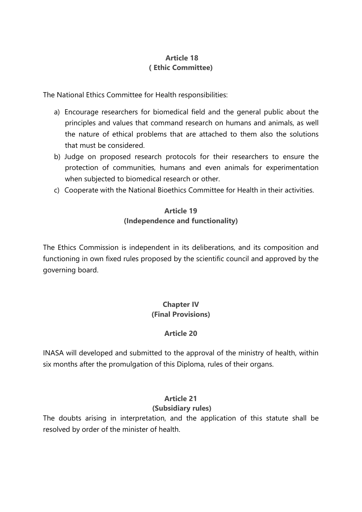## **Article 18 ( Ethic Committee)**

The National Ethics Committee for Health responsibilities:

- a) Encourage researchers for biomedical field and the general public about the principles and values that command research on humans and animals, as well the nature of ethical problems that are attached to them also the solutions that must be considered.
- b) Judge on proposed research protocols for their researchers to ensure the protection of communities, humans and even animals for experimentation when subjected to biomedical research or other.
- c) Cooperate with the National Bioethics Committee for Health in their activities.

# **Article 19 (Independence and functionality)**

The Ethics Commission is independent in its deliberations, and its composition and functioning in own fixed rules proposed by the scientific council and approved by the governing board.

# **Chapter IV (Final Provisions)**

# **Article 20**

INASA will developed and submitted to the approval of the ministry of health, within six months after the promulgation of this Diploma, rules of their organs.

# **Article 21**

## **(Subsidiary rules)**

The doubts arising in interpretation, and the application of this statute shall be resolved by order of the minister of health.